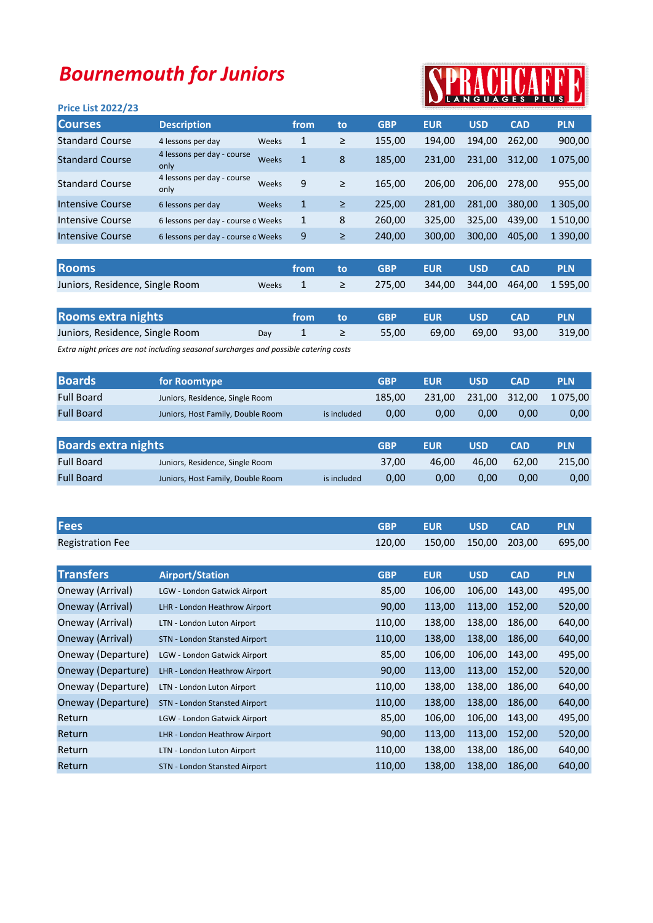## Bournemouth for Juniors

# PRACHCARF

| .vu =.v. =v==, =v      |                                    |       |              |        |            |            |            |            |            |
|------------------------|------------------------------------|-------|--------------|--------|------------|------------|------------|------------|------------|
| <b>Courses</b>         | <b>Description</b>                 |       | from         | to     | <b>GBP</b> | <b>EUR</b> | <b>USD</b> | <b>CAD</b> | <b>PLN</b> |
| <b>Standard Course</b> | 4 lessons per day                  | Weeks | 1            | ≥      | 155,00     | 194,00     | 194,00     | 262,00     | 900,00     |
| <b>Standard Course</b> | 4 lessons per day - course<br>only | Weeks | $\mathbf{1}$ | 8      | 185,00     | 231,00     | 231,00     | 312.00     | 1 075,00   |
| <b>Standard Course</b> | 4 lessons per day - course<br>only | Weeks | 9            | ≥      | 165,00     | 206,00     | 206,00     | 278.00     | 955,00     |
| Intensive Course       | 6 lessons per day                  | Weeks | 1            | $\geq$ | 225,00     | 281,00     | 281,00     | 380,00     | 1 305,00   |
| Intensive Course       | 6 lessons per day - course o Weeks |       | 1            | 8      | 260,00     | 325,00     | 325,00     | 439,00     | 1510,00    |
| Intensive Course       | 6 lessons per day - course o Weeks |       | 9            | ≥      | 240,00     | 300,00     | 300,00     | 405,00     | 1 390,00   |
|                        |                                    |       |              |        |            |            |            |            |            |
|                        |                                    |       |              |        |            |            |            |            |            |

| <b>Rooms</b>                    | from to        | <b>SALE SERVICE SERVICE SERVICE SERVICE SERVICE SERVICE SERVICE SERVICE SERVICE SERVICE SERVICE SERVICE SERVICE</b> |  | <b>CAD</b> | <b>PLN</b> |
|---------------------------------|----------------|---------------------------------------------------------------------------------------------------------------------|--|------------|------------|
| Juniors, Residence, Single Room | Weeks $1 \geq$ | 275,00 344,00 344,00 464,00 1595,00                                                                                 |  |            |            |

| Rooms extra nights              |     |  | from to GBP EUR |                          | USD CAD | <b>PLN</b> |
|---------------------------------|-----|--|-----------------|--------------------------|---------|------------|
| Juniors, Residence, Single Room | Dav |  | 55.00           | 69,00 69,00 93,00 319,00 |         |            |

Extra night prices are not including seasonal surcharges and possible catering costs

| <b>Boards</b>     | <b>Tor Roomtype</b>               |             | GBP    | <b>EUR</b> | USD  | <b>CAD</b>    | <b>PLN</b> |
|-------------------|-----------------------------------|-------------|--------|------------|------|---------------|------------|
| <b>Full Board</b> | Juniors, Residence, Single Room   |             | 185.00 | 231.00     |      | 231,00 312,00 | 1 075.00   |
| <b>Full Board</b> | Juniors, Host Family, Double Room | is included | 0.00   | 0.00       | 0.00 | 0.00          | 0,00       |

| <b>Boards extra nights</b> |                                   |             | <b>GBP</b> | <b>EUR</b> | USD   | CAD   | <b>PLN</b> |
|----------------------------|-----------------------------------|-------------|------------|------------|-------|-------|------------|
| <b>Full Board</b>          | Juniors, Residence, Single Room   |             | 37.00      | 46.00      | 46.00 | 62.00 | 215.00     |
| <b>Full Board</b>          | Juniors, Host Family, Double Room | is included | 0.00       | 0.00       | 0.00  | 0.00  | 0,00       |

| <b>Fees</b>             |                                     | <b>GBP</b> | <b>EUR</b> | <b>USD</b> | <b>CAD</b> | <b>PLN</b> |
|-------------------------|-------------------------------------|------------|------------|------------|------------|------------|
| <b>Registration Fee</b> |                                     | 120,00     | 150,00     | 150,00     | 203,00     | 695,00     |
|                         |                                     |            |            |            |            |            |
| <b>Transfers</b>        | <b>Airport/Station</b>              | <b>GBP</b> | <b>EUR</b> | <b>USD</b> | <b>CAD</b> | <b>PLN</b> |
| Oneway (Arrival)        | <b>LGW - London Gatwick Airport</b> | 85,00      | 106,00     | 106,00     | 143,00     | 495,00     |
| Oneway (Arrival)        | LHR - London Heathrow Airport       | 90,00      | 113,00     | 113,00     | 152,00     | 520,00     |
| Oneway (Arrival)        | LTN - London Luton Airport          | 110,00     | 138,00     | 138,00     | 186,00     | 640,00     |
| Oneway (Arrival)        | STN - London Stansted Airport       | 110,00     | 138,00     | 138,00     | 186,00     | 640,00     |
| Oneway (Departure)      | LGW - London Gatwick Airport        | 85,00      | 106,00     | 106,00     | 143,00     | 495,00     |
| Oneway (Departure)      | LHR - London Heathrow Airport       | 90,00      | 113,00     | 113,00     | 152,00     | 520,00     |
| Oneway (Departure)      | LTN - London Luton Airport          | 110,00     | 138,00     | 138,00     | 186,00     | 640,00     |
| Oneway (Departure)      | STN - London Stansted Airport       | 110,00     | 138,00     | 138,00     | 186,00     | 640,00     |
| Return                  | LGW - London Gatwick Airport        | 85,00      | 106,00     | 106,00     | 143,00     | 495,00     |
| Return                  | LHR - London Heathrow Airport       | 90,00      | 113,00     | 113,00     | 152,00     | 520,00     |
| Return                  | LTN - London Luton Airport          | 110,00     | 138,00     | 138,00     | 186,00     | 640,00     |
| Return                  | STN - London Stansted Airport       | 110,00     | 138,00     | 138,00     | 186,00     | 640,00     |

#### Price List 2022/23